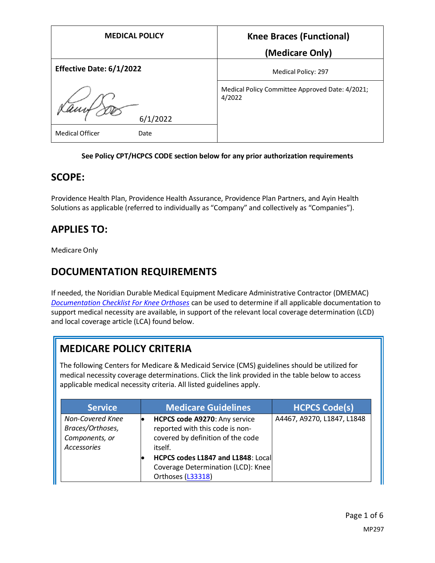| <b>MEDICAL POLICY</b>          | <b>Knee Braces (Functional)</b>                           |
|--------------------------------|-----------------------------------------------------------|
|                                | (Medicare Only)                                           |
| Effective Date: 6/1/2022       | Medical Policy: 297                                       |
| 6/1/2022                       | Medical Policy Committee Approved Date: 4/2021;<br>4/2022 |
| <b>Medical Officer</b><br>Date |                                                           |

#### **See Policy CPT/HCPCS CODE section below for any prior authorization requirements**

### **SCOPE:**

Providence Health Plan, Providence Health Assurance, Providence Plan Partners, and Ayin Health Solutions as applicable (referred to individually as "Company" and collectively as "Companies").

# **APPLIES TO:**

Medicare Only

# **DOCUMENTATION REQUIREMENTS**

If needed, the Noridian Durable Medical Equipment Medicare Administrative Contractor (DMEMAC) *[Documentation Checklist For Knee Orthoses](https://med.noridianmedicare.com/documents/2230715/26734435/Documentation+Checklist+-+Knee+Orthoses)* can be used to determine if all applicable documentation to support medical necessity are available, in support of the relevant local coverage determination (LCD) and local coverage article (LCA) found below.

# **MEDICARE POLICY CRITERIA**

The following Centers for Medicare & Medicaid Service (CMS) guidelines should be utilized for medical necessity coverage determinations. Click the link provided in the table below to access applicable medical necessity criteria. All listed guidelines apply.

| <b>Service</b>                                                               | <b>Medicare Guidelines</b>                                                                                       | <b>HCPCS Code(s)</b>       |
|------------------------------------------------------------------------------|------------------------------------------------------------------------------------------------------------------|----------------------------|
| Non-Covered Knee<br>Braces/Orthoses,<br>Components, or<br><b>Accessories</b> | HCPCS code A9270: Any service<br>reported with this code is non-<br>covered by definition of the code<br>itself. | A4467, A9270, L1847, L1848 |
|                                                                              | HCPCS codes L1847 and L1848: Local<br>Coverage Determination (LCD): Knee<br>Orthoses (L33318)                    |                            |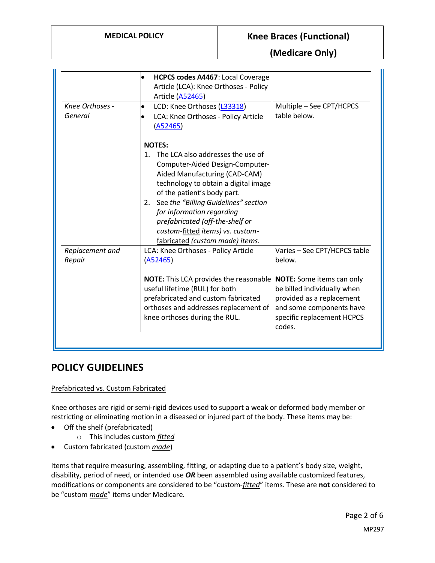### **MEDICAL POLICY Knee Braces (Functional)**

**(Medicare Only)**

|                            | <b>HCPCS codes A4467: Local Coverage</b><br>Article (LCA): Knee Orthoses - Policy<br><b>Article (A52465)</b>                                                                                                                                                                                                                                                                       |                                                                                                                                        |
|----------------------------|------------------------------------------------------------------------------------------------------------------------------------------------------------------------------------------------------------------------------------------------------------------------------------------------------------------------------------------------------------------------------------|----------------------------------------------------------------------------------------------------------------------------------------|
| Knee Orthoses -<br>General | LCD: Knee Orthoses (L33318)<br>LCA: Knee Orthoses - Policy Article<br>(A52465)                                                                                                                                                                                                                                                                                                     | Multiple - See CPT/HCPCS<br>table below.                                                                                               |
|                            | <b>NOTES:</b><br>1. The LCA also addresses the use of<br>Computer-Aided Design-Computer-<br>Aided Manufacturing (CAD-CAM)<br>technology to obtain a digital image<br>of the patient's body part.<br>2. See the "Billing Guidelines" section<br>for information regarding<br>prefabricated (off-the-shelf or<br>custom-fitted items) vs. custom-<br>fabricated (custom made) items. |                                                                                                                                        |
| Replacement and<br>Repair  | LCA: Knee Orthoses - Policy Article<br>(A52465)<br>NOTE: This LCA provides the reasonable<br>useful lifetime (RUL) for both<br>prefabricated and custom fabricated                                                                                                                                                                                                                 | Varies - See CPT/HCPCS table<br>below.<br><b>NOTE:</b> Some items can only<br>be billed individually when<br>provided as a replacement |
|                            | orthoses and addresses replacement of<br>knee orthoses during the RUL.                                                                                                                                                                                                                                                                                                             | and some components have<br>specific replacement HCPCS<br>codes.                                                                       |

### **POLICY GUIDELINES**

#### Prefabricated vs. Custom Fabricated

Knee orthoses are rigid or semi-rigid devices used to support a weak or deformed body member or restricting or eliminating motion in a diseased or injured part of the body. These items may be:

- Off the shelf (prefabricated)
	- o This includes custom *fitted*
- Custom fabricated (custom *made*)

Items that require measuring, assembling, fitting, or adapting due to a patient's body size, weight, disability, period of need, or intended use *OR* been assembled using available customized features, modifications or components are considered to be "custom-*fitted*" items. These are **not** considered to be "custom *made*" items under Medicare.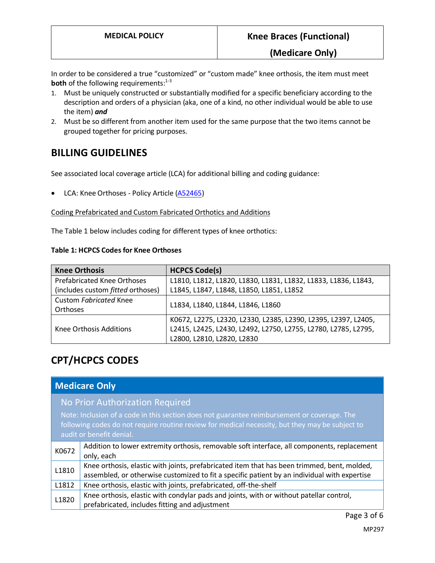In order to be considered a true "customized" or "custom made" knee orthosis, the item must meet **both** of the following requirements:<sup>1-3</sup>

- 1. Must be uniquely constructed or substantially modified for a specific beneficiary according to the description and orders of a physician (aka, one of a kind, no other individual would be able to use the item) *and*
- 2. Must be so different from another item used for the same purpose that the two items cannot be grouped together for pricing purposes.

### **BILLING GUIDELINES**

See associated local coverage article (LCA) for additional billing and coding guidance:

• LCA: Knee Orthoses - Policy Article [\(A52465\)](https://www.cms.gov/medicare-coverage-database/details/article-details.aspx?articleid=52465)

#### Coding Prefabricated and Custom Fabricated Orthotics and Additions

The Table 1 below includes coding for different types of knee orthotics:

#### **Table 1: HCPCS Codes for Knee Orthoses**

| <b>Knee Orthosis</b>               | <b>HCPCS Code(s)</b>                                           |  |
|------------------------------------|----------------------------------------------------------------|--|
| <b>Prefabricated Knee Orthoses</b> | L1810, L1812, L1820, L1830, L1831, L1832, L1833, L1836, L1843, |  |
| (includes custom fitted orthoses)  | L1845, L1847, L1848, L1850, L1851, L1852                       |  |
| <b>Custom Fabricated Knee</b>      |                                                                |  |
| Orthoses                           | L1834, L1840, L1844, L1846, L1860                              |  |
| Knee Orthosis Additions            | K0672, L2275, L2320, L2330, L2385, L2390, L2395, L2397, L2405, |  |
|                                    | L2415, L2425, L2430, L2492, L2750, L2755, L2780, L2785, L2795, |  |
|                                    | L2800, L2810, L2820, L2830                                     |  |

# **CPT/HCPCS CODES**

| <b>Medicare Only</b>                                                                                                                                                                                                                                          |                                                                                                                                                                                             |
|---------------------------------------------------------------------------------------------------------------------------------------------------------------------------------------------------------------------------------------------------------------|---------------------------------------------------------------------------------------------------------------------------------------------------------------------------------------------|
| No Prior Authorization Required<br>Note: Inclusion of a code in this section does not guarantee reimbursement or coverage. The<br>following codes do not require routine review for medical necessity, but they may be subject to<br>audit or benefit denial. |                                                                                                                                                                                             |
| K0672                                                                                                                                                                                                                                                         | Addition to lower extremity orthosis, removable soft interface, all components, replacement<br>only, each                                                                                   |
| L1810                                                                                                                                                                                                                                                         | Knee orthosis, elastic with joints, prefabricated item that has been trimmed, bent, molded,<br>assembled, or otherwise customized to fit a specific patient by an individual with expertise |
| L1812                                                                                                                                                                                                                                                         | Knee orthosis, elastic with joints, prefabricated, off-the-shelf                                                                                                                            |
| L1820                                                                                                                                                                                                                                                         | Knee orthosis, elastic with condylar pads and joints, with or without patellar control,<br>prefabricated, includes fitting and adjustment                                                   |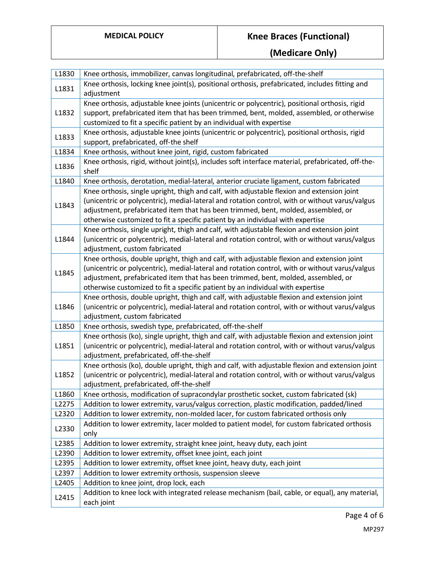# **MEDICAL POLICY Knee Braces (Functional)**

**(Medicare Only)**

| L1830 | Knee orthosis, immobilizer, canvas longitudinal, prefabricated, off-the-shelf                     |
|-------|---------------------------------------------------------------------------------------------------|
|       | Knee orthosis, locking knee joint(s), positional orthosis, prefabricated, includes fitting and    |
| L1831 | adjustment                                                                                        |
|       | Knee orthosis, adjustable knee joints (unicentric or polycentric), positional orthosis, rigid     |
| L1832 | support, prefabricated item that has been trimmed, bent, molded, assembled, or otherwise          |
|       | customized to fit a specific patient by an individual with expertise                              |
|       | Knee orthosis, adjustable knee joints (unicentric or polycentric), positional orthosis, rigid     |
| L1833 | support, prefabricated, off-the shelf                                                             |
| L1834 | Knee orthosis, without knee joint, rigid, custom fabricated                                       |
|       | Knee orthosis, rigid, without joint(s), includes soft interface material, prefabricated, off-the- |
| L1836 | shelf                                                                                             |
| L1840 | Knee orthosis, derotation, medial-lateral, anterior cruciate ligament, custom fabricated          |
|       | Knee orthosis, single upright, thigh and calf, with adjustable flexion and extension joint        |
| L1843 | (unicentric or polycentric), medial-lateral and rotation control, with or without varus/valgus    |
|       | adjustment, prefabricated item that has been trimmed, bent, molded, assembled, or                 |
|       | otherwise customized to fit a specific patient by an individual with expertise                    |
|       | Knee orthosis, single upright, thigh and calf, with adjustable flexion and extension joint        |
| L1844 | (unicentric or polycentric), medial-lateral and rotation control, with or without varus/valgus    |
|       | adjustment, custom fabricated                                                                     |
|       | Knee orthosis, double upright, thigh and calf, with adjustable flexion and extension joint        |
| L1845 | (unicentric or polycentric), medial-lateral and rotation control, with or without varus/valgus    |
|       | adjustment, prefabricated item that has been trimmed, bent, molded, assembled, or                 |
|       | otherwise customized to fit a specific patient by an individual with expertise                    |
|       | Knee orthosis, double upright, thigh and calf, with adjustable flexion and extension joint        |
| L1846 | (unicentric or polycentric), medial-lateral and rotation control, with or without varus/valgus    |
|       | adjustment, custom fabricated                                                                     |
| L1850 | Knee orthosis, swedish type, prefabricated, off-the-shelf                                         |
|       | Knee orthosis (ko), single upright, thigh and calf, with adjustable flexion and extension joint   |
| L1851 | (unicentric or polycentric), medial-lateral and rotation control, with or without varus/valgus    |
|       | adjustment, prefabricated, off-the-shelf                                                          |
|       | Knee orthosis (ko), double upright, thigh and calf, with adjustable flexion and extension joint   |
| L1852 | (unicentric or polycentric), medial-lateral and rotation control, with or without varus/valgus    |
|       | adjustment, prefabricated, off-the-shelf                                                          |
| L1860 | Knee orthosis, modification of supracondylar prosthetic socket, custom fabricated (sk)            |
| L2275 | Addition to lower extremity, varus/valgus correction, plastic modification, padded/lined          |
| L2320 | Addition to lower extremity, non-molded lacer, for custom fabricated orthosis only                |
| L2330 | Addition to lower extremity, lacer molded to patient model, for custom fabricated orthosis        |
|       | only                                                                                              |
| L2385 | Addition to lower extremity, straight knee joint, heavy duty, each joint                          |
| L2390 | Addition to lower extremity, offset knee joint, each joint                                        |
| L2395 | Addition to lower extremity, offset knee joint, heavy duty, each joint                            |
| L2397 | Addition to lower extremity orthosis, suspension sleeve                                           |
| L2405 | Addition to knee joint, drop lock, each                                                           |
| L2415 | Addition to knee lock with integrated release mechanism (bail, cable, or equal), any material,    |
|       | each joint                                                                                        |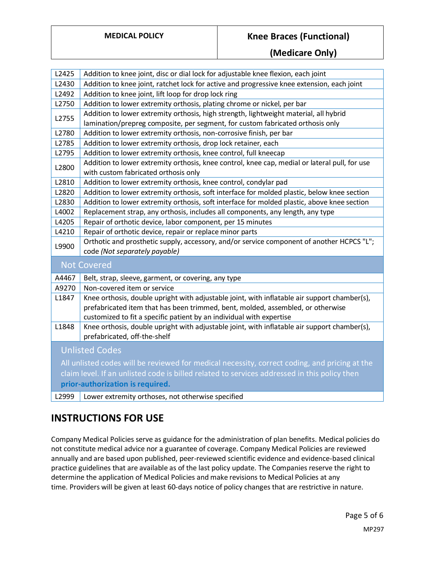### **MEDICAL POLICY Knee Braces (Functional)**

**(Medicare Only)**

| L2425                                                                                         | Addition to knee joint, disc or dial lock for adjustable knee flexion, each joint             |
|-----------------------------------------------------------------------------------------------|-----------------------------------------------------------------------------------------------|
| L2430                                                                                         | Addition to knee joint, ratchet lock for active and progressive knee extension, each joint    |
| L2492                                                                                         | Addition to knee joint, lift loop for drop lock ring                                          |
| L2750                                                                                         | Addition to lower extremity orthosis, plating chrome or nickel, per bar                       |
| L2755                                                                                         | Addition to lower extremity orthosis, high strength, lightweight material, all hybrid         |
|                                                                                               | lamination/prepreg composite, per segment, for custom fabricated orthosis only                |
| L2780                                                                                         | Addition to lower extremity orthosis, non-corrosive finish, per bar                           |
| L2785                                                                                         | Addition to lower extremity orthosis, drop lock retainer, each                                |
| L2795                                                                                         | Addition to lower extremity orthosis, knee control, full kneecap                              |
|                                                                                               | Addition to lower extremity orthosis, knee control, knee cap, medial or lateral pull, for use |
| L2800                                                                                         | with custom fabricated orthosis only                                                          |
| L2810                                                                                         | Addition to lower extremity orthosis, knee control, condylar pad                              |
| L2820                                                                                         | Addition to lower extremity orthosis, soft interface for molded plastic, below knee section   |
| L2830                                                                                         | Addition to lower extremity orthosis, soft interface for molded plastic, above knee section   |
| L4002                                                                                         | Replacement strap, any orthosis, includes all components, any length, any type                |
| L4205                                                                                         | Repair of orthotic device, labor component, per 15 minutes                                    |
| L4210                                                                                         | Repair of orthotic device, repair or replace minor parts                                      |
| L9900                                                                                         | Orthotic and prosthetic supply, accessory, and/or service component of another HCPCS "L";     |
|                                                                                               | code (Not separately payable)                                                                 |
| <b>Not Covered</b>                                                                            |                                                                                               |
| A4467                                                                                         | Belt, strap, sleeve, garment, or covering, any type                                           |
| A9270                                                                                         | Non-covered item or service                                                                   |
| L1847                                                                                         | Knee orthosis, double upright with adjustable joint, with inflatable air support chamber(s),  |
|                                                                                               | prefabricated item that has been trimmed, bent, molded, assembled, or otherwise               |
|                                                                                               | customized to fit a specific patient by an individual with expertise                          |
| L1848                                                                                         | Knee orthosis, double upright with adjustable joint, with inflatable air support chamber(s),  |
|                                                                                               | prefabricated, off-the-shelf                                                                  |
| <b>Unlisted Codes</b>                                                                         |                                                                                               |
| All unlisted codes will be reviewed for medical necessity, correct coding, and pricing at the |                                                                                               |
| claim level. If an unlisted code is billed related to services addressed in this policy then  |                                                                                               |
| prior-authorization is required.                                                              |                                                                                               |
| L2999                                                                                         | Lower extremity orthoses, not otherwise specified                                             |

# **INSTRUCTIONS FOR USE**

Company Medical Policies serve as guidance for the administration of plan benefits. Medical policies do not constitute medical advice nor a guarantee of coverage. Company Medical Policies are reviewed annually and are based upon published, peer-reviewed scientific evidence and evidence-based clinical practice guidelines that are available as of the last policy update. The Companies reserve the right to determine the application of Medical Policies and make revisions to Medical Policies at any time. Providers will be given at least 60-days notice of policy changes that are restrictive in nature.